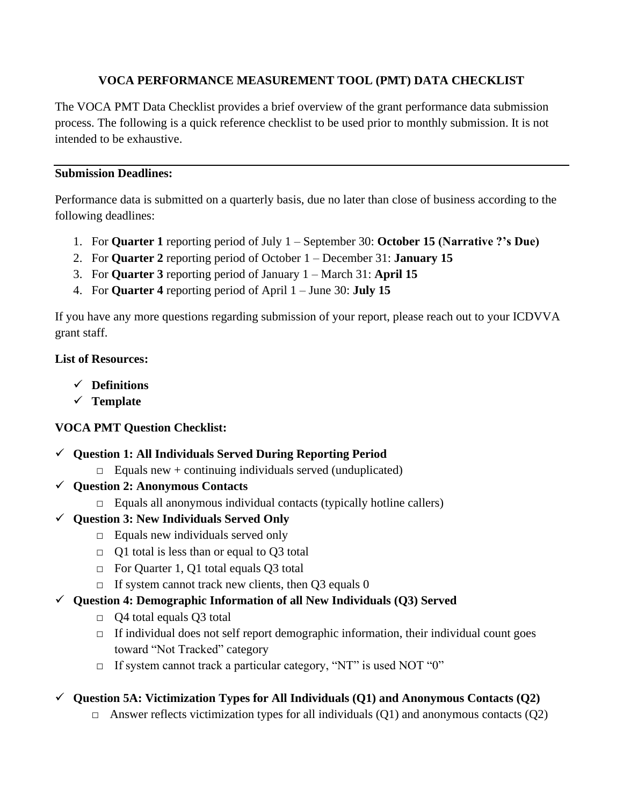#### **VOCA PERFORMANCE MEASUREMENT TOOL (PMT) DATA CHECKLIST**

The VOCA PMT Data Checklist provides a brief overview of the grant performance data submission process. The following is a quick reference checklist to be used prior to monthly submission. It is not intended to be exhaustive.

#### **Submission Deadlines:**

Performance data is submitted on a quarterly basis, due no later than close of business according to the following deadlines:

- 1. For **Quarter 1** reporting period of July 1 September 30: **October 15 (Narrative ?'s Due)**
- 2. For **Quarter 2** reporting period of October 1 December 31: **January 15**
- 3. For **Quarter 3** reporting period of January 1 March 31: **April 15**
- 4. For **Quarter 4** reporting period of April 1 June 30: **July 15**

If you have any more questions regarding submission of your report, please reach out to your ICDVVA grant staff.

#### **List of Resources:**

- ✓ **Definitions**
- ✓ **Template**

# **VOCA PMT Question Checklist:**

- ✓ **Question 1: All Individuals Served During Reporting Period**
	- $\Box$  Equals new + continuing individuals served (unduplicated)
- ✓ **Question 2: Anonymous Contacts**
	- $\Box$  Equals all anonymous individual contacts (typically hotline callers)
- ✓ **Question 3: New Individuals Served Only**
	- $\Box$  Equals new individuals served only
	- $\Box$  Q1 total is less than or equal to Q3 total
	- □ For Quarter 1, Q1 total equals Q3 total
	- $\Box$  If system cannot track new clients, then Q3 equals 0

# ✓ **Question 4: Demographic Information of all New Individuals (Q3) Served**

- □ Q4 total equals Q3 total
- $\Box$  If individual does not self report demographic information, their individual count goes toward "Not Tracked" category
- $\Box$  If system cannot track a particular category, "NT" is used NOT "0"

# ✓ **Question 5A: Victimization Types for All Individuals (Q1) and Anonymous Contacts (Q2)**

 $\Box$  Answer reflects victimization types for all individuals (Q1) and anonymous contacts (Q2)